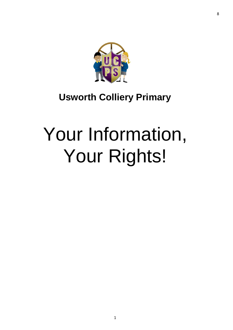

# **Usworth Colliery Primary**

# Your Information, Your Rights!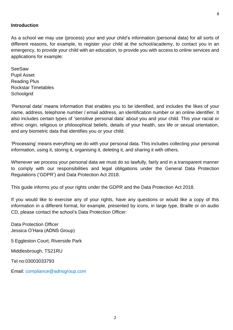#### **Introduction**

As a school we may use (process) your and your child's information (personal data) for all sorts of different reasons, for example, to register your child at the school/academy, to contact you in an emergency, to provide your child with an education, to provide you with access to online services and applications for example:

SeeSaw Pupil Asset Reading Plus Rockstar Timetables **Schoolgrid** 

'Personal data' means information that enables you to be identified, and includes the likes of your name, address, telephone number / email address, an identification number or an online identifier. It also includes certain types of 'sensitive personal data' about you and your child. This your racial or ethnic origin, religious or philosophical beliefs, details of your health, sex life or sexual orientation, and any biometric data that identifies you or your child.

'Processing' means everything we do with your personal data. This includes collecting your personal information, using it, storing it, organising it, deleting it, and sharing it with others.

Whenever we process your personal data we must do so lawfully, fairly and in a transparent manner to comply with our responsibilities and legal obligations under the General Data Protection Regulations ('GDPR') and Data Protection Act 2018.

This guide informs you of your rights under the GDPR and the Data Protection Act 2018.

If you would like to exercise any of your rights, have any questions or would like a copy of this information in a different format, for example, presented by icons, in large type, Braille or on audio CD, please contact the school's Data Protection Officer:

Data Protection Officer Jessica O'Hara (ADNS Group)

5 Eggleston Court, Riverside Park

Middlesbrough, TS21RU

Tel no:03003033793

Email: [compliance@adnsgroup.com](mailto:compliance@adnsgroup.com)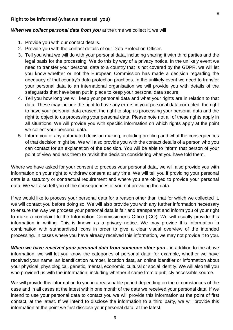#### **Right to be informed (what we must tell you)**

#### *When we collect personal data from you* at the time we collect it, we will

- 1. Provide you with our contact details.
- 2. Provide you with the contact details of our Data Protection Officer.
- 3. Tell you what we will do with your personal data, including sharing it with third parties and the legal basis for the processing. We do this by way of a privacy notice. In the unlikely event we need to transfer your personal data to a country that is not covered by the GDPR, we will let you know whether or not the European Commission has made a decision regarding the adequacy of that country's data protection practices. In the unlikely event we need to transfer your personal data to an international organisation we will provide you with details of the safeguards that have been put in place to keep your personal data secure.
- 4. Tell you how long we will keep your personal data and what your rights are in relation to that data. These may include the right to have any errors in your personal data corrected, the right to have your personal data erased, the right to stop us processing your personal data and the right to object to us processing your personal data. Please note not all of these rights apply in all situations. We will provide you with specific information on which rights apply at the point we collect your personal data.
- 5. Inform you of any automated decision making, including profiling and what the consequences of that decision might be. We will also provide you with the contact details of a person who you can contact for an explanation of the decision. You will be able to inform that person of your point of view and ask them to revisit the decision considering what you have told them.

Where we have asked for your consent to process your personal data, we will also provide you with information on your right to withdraw consent at any time. We will tell you if providing your personal data is a statutory or contractual requirement and where you are obliged to provide your personal data. We will also tell you of the consequences of you not providing the data.

If we would like to process your personal data for a reason other than that for which we collected it, we will contact you before doing so. We will also provide you with any further information necessary to ensure the way we process your personal data is fair and transparent and inform you of your right to make a complaint to the Information Commissioner's Office (ICO). We will usually provide this information in writing. This is known as a privacy notice. We may provide this information in combination with standardised icons in order to give a clear visual overview of the intended processing. In cases where you have already received this information, we may not provide it to you.

*When we have received your personal data from someone other you…*in addition to the above information, we will let you know the categories of personal data, for example, whether we have received your name, an identification number, location data, an online identifier or information about your physical, physiological, genetic, mental, economic, cultural or social identity. We will also tell you who provided us with the information, including whether it came from a publicly accessible source.

We will provide this information to you in a reasonable period depending on the circumstances of the case and in all cases at the latest within one month of the date we received your personal data. If we intend to use your personal data to contact you we will provide this information at the point of first contact, at the latest. If we intend to disclose the information to a third party, we will provide this information at the point we first disclose your personal data, at the latest.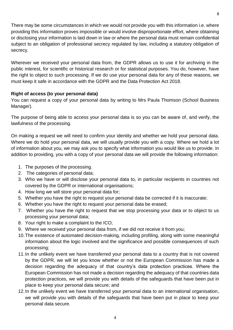There may be some circumstances in which we would not provide you with this information i.e. where providing this information proves impossible or would involve disproportionate effort, where obtaining or disclosing your information is laid down in law or where the personal data must remain confidential subject to an obligation of professional secrecy regulated by law, including a statutory obligation of secrecy.

Wherever we received your personal data from, the GDPR allows us to use it for archiving in the public interest, for scientific or historical research or for statistical purposes. You do, however, have the right to object to such processing. If we do use your personal data for any of these reasons, we must keep it safe in accordance with the GDPR and the Data Protection Act 2018.

### **Right of access (to your personal data)**

You can request a copy of your personal data by writing to Mrs Paula Thomson (School Business Manager).

The purpose of being able to access your personal data is so you can be aware of, and verify, the lawfulness of the processing.

On making a request we will need to confirm your identity and whether we hold your personal data. Where we do hold your personal data, we will usually provide you with a copy. Where we hold a lot of information about you, we may ask you to specify what information you would like us to provide. In addition to providing, you with a copy of your personal data we will provide the following information:

- 1. The purposes of the processing.
- 2. The categories of personal data;
- 3. Who we have or will disclose your personal data to, in particular recipients in countries not covered by the GDPR or international organisations;
- 4. How long we will store your personal data for;
- 5. Whether you have the right to request your personal data be corrected if it is inaccurate;
- 6. Whether you have the right to request your personal data be erased;
- 7. Whether you have the right to request that we stop processing your data or to object to us processing your personal data;
- 8. Your right to make a complaint to the ICO;
- 9. Where we received your personal data from, if we did not receive it from you;
- 10.The existence of automated decision-making, including profiling, along with some meaningful information about the logic involved and the significance and possible consequences of such processing;
- 11.In the unlikely event we have transferred your personal data to a country that is not covered by the GDPR, we will let you know whether or not the European Commission has made a decision regarding the adequacy of that country's data protection practices. Where the European Commission has not made a decision regarding the adequacy of that countries data protection practices, we will provide you with details of the safeguards that have been put in place to keep your personal data secure; and
- 12.In the unlikely event we have transferred your personal data to an international organisation, we will provide you with details of the safeguards that have been put in place to keep your personal data secure.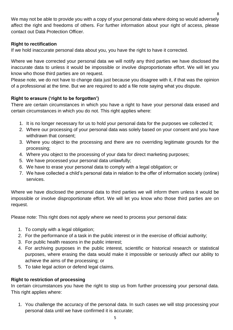We may not be able to provide you with a copy of your personal data where doing so would adversely affect the right and freedoms of others. For further information about your right of access, please contact out Data Protection Officer.

## **Right to rectification**

If we hold inaccurate personal data about you, you have the right to have it corrected.

Where we have corrected your personal data we will notify any third parties we have disclosed the inaccurate data to unless it would be impossible or involve disproportionate effort. We will let you know who those third parties are on request.

Please note, we do not have to change data just because you disagree with it, if that was the opinion of a professional at the time. But we are required to add a file note saying what you dispute.

# **Right to erasure ('right to be forgotten')**

There are certain circumstances in which you have a right to have your personal data erased and certain circumstances in which you do not. This right applies where:

- 1. It is no longer necessary for us to hold your personal data for the purposes we collected it;
- 2. Where our processing of your personal data was solely based on your consent and you have withdrawn that consent;
- 3. Where you object to the processing and there are no overriding legitimate grounds for the processing;
- 4. Where you object to the processing of your data for direct marketing purposes;
- 5. We have processed your personal data unlawfully;
- 6. We have to erase your personal data to comply with a legal obligation; or
- 7. We have collected a child's personal data in relation to the offer of information society (online) services.

Where we have disclosed the personal data to third parties we will inform them unless it would be impossible or involve disproportionate effort. We will let you know who those third parties are on request.

Please note: This right does not apply where we need to process your personal data:

- 1. To comply with a legal obligation;
- 2. For the performance of a task in the public interest or in the exercise of official authority;
- 3. For public health reasons in the public interest;
- 4. For archiving purposes in the public interest, scientific or historical research or statistical purposes, where erasing the data would make it impossible or seriously affect our ability to achieve the aims of the processing; or
- 5. To take legal action or defend legal claims.

### **Right to restriction of processing**

In certain circumstances you have the right to stop us from further processing your personal data. This right applies where:

1. You challenge the accuracy of the personal data. In such cases we will stop processing your personal data until we have confirmed it is accurate;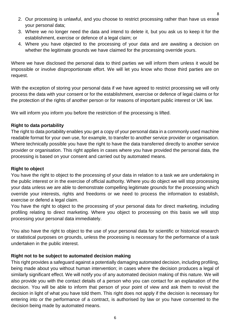- 3. Where we no longer need the data and intend to delete it, but you ask us to keep it for the establishment, exercise or defence of a legal claim; or
- 4. Where you have objected to the processing of your data and are awaiting a decision on whether the legitimate grounds we have claimed for the processing override yours.

Where we have disclosed the personal data to third parties we will inform them unless it would be impossible or involve disproportionate effort. We will let you know who those third parties are on request.

With the exception of storing your personal data if we have agreed to restrict processing we will only process the data with your consent or for the establishment, exercise or defence of legal claims or for the protection of the rights of another person or for reasons of important public interest or UK law.

We will inform you inform you before the restriction of the processing is lifted.

# **Right to data portability**

The right to data portability enables you get a copy of your personal data in a commonly used machine readable format for your own use, for example, to transfer to another service provider or organisation. Where technically possible you have the right to have the data transferred directly to another service provider or organisation. This right applies in cases where you have provided the personal data, the processing is based on your consent and carried out by automated means.

### **Right to object**

You have the right to object to the processing of your data in relation to a task we are undertaking in the public interest or in the exercise of official authority. Where you do object we will stop processing your data unless we are able to demonstrate compelling legitimate grounds for the processing which override your interests, rights and freedoms or we need to process the information to establish, exercise or defend a legal claim.

You have the right to object to the processing of your personal data for direct marketing, including profiling relating to direct marketing. Where you object to processing on this basis we will stop processing your personal data immediately.

You also have the right to object to the use of your personal data for scientific or historical research or statistical purposes on grounds, unless the processing is necessary for the performance of a task undertaken in the public interest.

# **Right not to be subject to automated decision making**

This right provides a safeguard against a potentially damaging automated decision, including profiling, being made about you without human intervention; in cases where the decision produces a legal of similarly significant effect. We will notify you of any automated decision making of this nature. We will also provide you with the contact details of a person who you can contact for an explanation of the decision. You will be able to inform that person of your point of view and ask them to revisit the decision in light of what you have told them. This right does not apply if the decision is necessary for entering into or the performance of a contract, is authorised by law or you have consented to the decision being made by automated means.